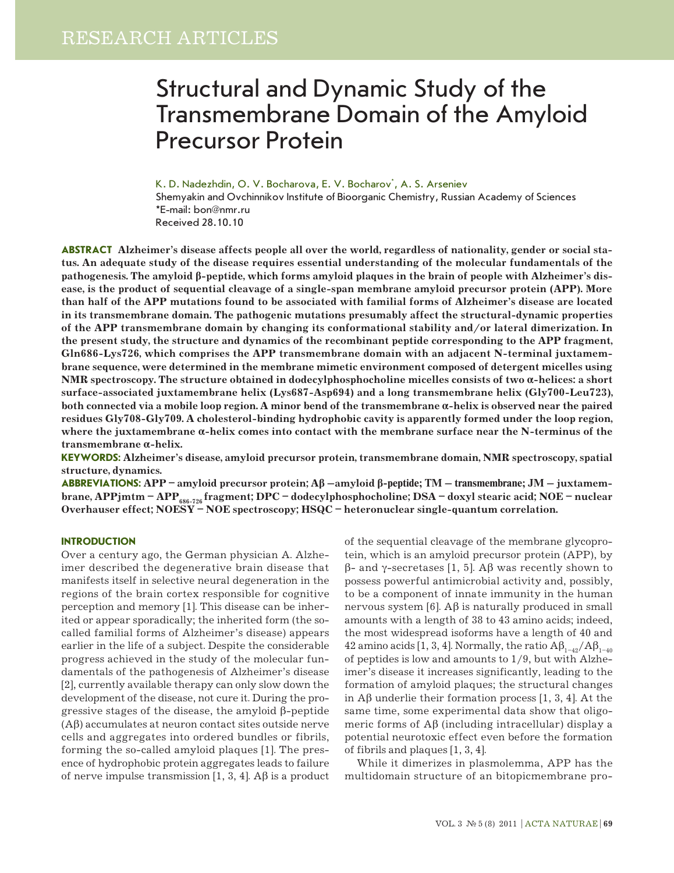# Structural and Dynamic Study of the Transmembrane Domain of the Amyloid Precursor Protein

K. D. Nadezhdin, O. V. Bocharova, E. V. Bocharov<sup>\*</sup>, A. S. Arseniev

Shemyakin and Ovchinnikov Institute of Bioorganic Chemistry, Russian Academy of Sciences \*E-mail: bon@nmr.ru Received 28.10.10

**ABSTRACT Alzheimer's disease affects people all over the world, regardless of nationality, gender or social status. An adequate study of the disease requires essential understanding of the molecular fundamentals of the pathogenesis. The amyloid β-peptide, which forms amyloid plaques in the brain of people with Alzheimer's disease, is the product of sequential cleavage of a single-span membrane amyloid precursor protein (APP). More than half of the APP mutations found to be associated with familial forms of Alzheimer's disease are located in its transmembrane domain. The pathogenic mutations presumably affect the structural-dynamic properties of the APP transmembrane domain by changing its conformational stability and/or lateral dimerization. In the present study, the structure and dynamics of the recombinant peptide corresponding to the APP fragment, Gln686-Lys726, which comprises the APP transmembrane domain with an adjacent N-terminal juxtamembrane sequence, were determined in the membrane mimetic environment composed of detergent micelles using NMR spectroscopy. The structure obtained in dodecylphosphocholine micelles consists of two α-helices: a short surface-associated juxtamembrane helix (Lys687-Asp694) and a long transmembrane helix (Gly700-Leu723), both connected via a mobile loop region. A minor bend of the transmembrane α-helix is observed near the paired residues Gly708-Gly709. A cholesterol-binding hydrophobic cavity is apparently formed under the loop region, where the juxtamembrane α-helix comes into contact with the membrane surface near the N-terminus of the transmembrane α-helix.**

**Keywords: Alzheimer's disease, amyloid precursor protein, transmembrane domain, NMR spectroscopy, spatial structure, dynamics.**

**Abbreviations: APP – amyloid precursor protein; Aβ –amyloid β-peptide; TM – transmembrane; JM – juxtamem**brane, APPjmtm – APP<sub>686-726</sub> fragment; DPC – dodecylphosphocholine; DSA – doxyl stearic acid; NOE – nuclear **Overhauser effect; NOESY – NOE spectroscopy; HSQC – heteronuclear single-quantum correlation.**

### **INTRODUCTION**

Over a century ago, the German physician A. Alzheimer described the degenerative brain disease that manifests itself in selective neural degeneration in the regions of the brain cortex responsible for cognitive perception and memory [1]. This disease can be inherited or appear sporadically; the inherited form (the socalled familial forms of Alzheimer's disease) appears earlier in the life of a subject. Despite the considerable progress achieved in the study of the molecular fundamentals of the pathogenesis of Alzheimer's disease [2], currently available therapy can only slow down the development of the disease, not cure it. During the progressive stages of the disease, the amyloid β-peptide  $(A\beta)$  accumulates at neuron contact sites outside nerve cells and aggregates into ordered bundles or fibrils, forming the so-called amyloid plaques [1]. The presence of hydrophobic protein aggregates leads to failure of nerve impulse transmission [1, 3, 4].  $\mathbf{A}\beta$  is a product of the sequential cleavage of the membrane glycoprotein, which is an amyloid precursor protein (APP), by β- and γ-secretases [1, 5]. Aβ was recently shown to possess powerful antimicrobial activity and, possibly, to be a component of innate immunity in the human nervous system [6].  $\Delta \beta$  is naturally produced in small amounts with a length of 38 to 43 amino acids; indeed, the most widespread isoforms have a length of 40 and 42 amino acids [1, 3, 4]. Normally, the ratio  $A\beta_{1-4}$ <sup>/</sup> $A\beta_{1-40}$ of peptides is low and amounts to 1/9, but with Alzheimer's disease it increases significantly, leading to the formation of amyloid plaques; the structural changes in Aβ underlie their formation process [1, 3, 4]. At the same time, some experimental data show that oligomeric forms of Аβ (including intracellular) display a potential neurotoxic effect even before the formation of fibrils and plaques [1, 3, 4].

While it dimerizes in plasmolemma, APP has the multidomain structure of an bitopicmembrane pro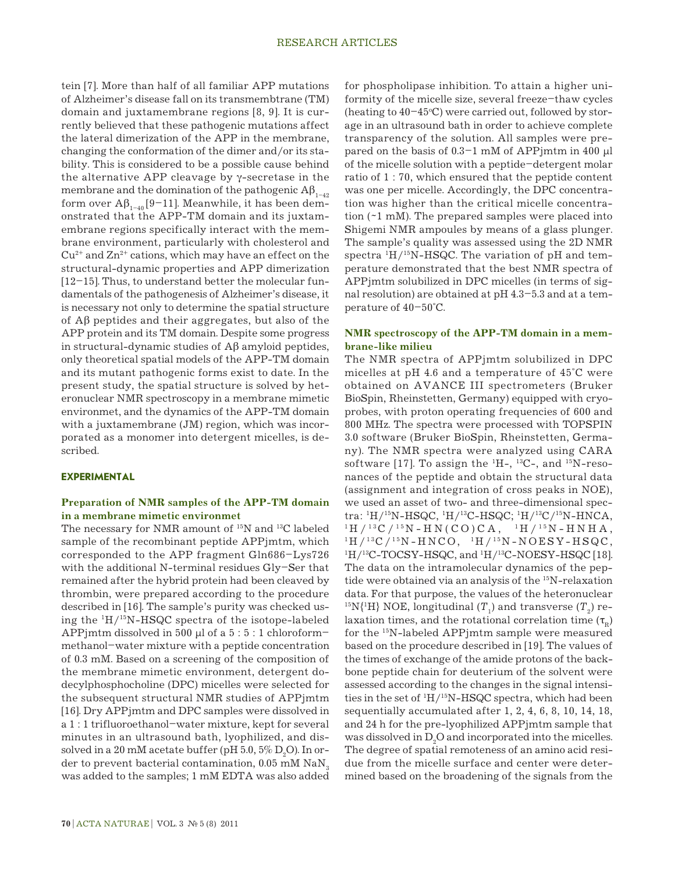tein [7]. More than half of all familiar APP mutations of Alzheimer's disease fall on its transmembtrane (TM) domain and juxtamembrane regions [8, 9]. It is currently believed that these pathogenic mutations affect the lateral dimerization of the APP in the membrane, changing the conformation of the dimer and/or its stability. This is considered to be a possible cause behind the alternative APP cleavage by γ-secretase in the membrane and the domination of the pathogenic  $\mathbf{A}\mathbf{\beta}_{1-42}$ form over  $A\beta_{1-40}$  [9–11]. Meanwhile, it has been demonstrated that the APP-TM domain and its juxtamembrane regions specifically interact with the membrane environment, particularly with cholesterol and  $Cu<sup>2+</sup>$  and  $Zn<sup>2+</sup>$  cations, which may have an effect on the structural-dynamic properties and APP dimerization [12–15]. Thus, to understand better the molecular fundamentals of the pathogenesis of Alzheimer's disease, it is necessary not only to determine the spatial structure of Aβ peptides and their aggregates, but also of the APP protein and its TM domain. Despite some progress in structural-dynamic studies of Aβ amyloid peptides, only theoretical spatial models of the APP-TM domain and its mutant pathogenic forms exist to date. In the present study, the spatial structure is solved by heteronuclear NMR spectroscopy in a membrane mimetic environmet, and the dynamics of the APP-TM domain with a juxtamembrane (JM) region, which was incorporated as a monomer into detergent micelles, is described.

#### **EXPERIMENTAL**

### **Preparation of NMR samples of the APP-TM domain in a membrane mimetic environmet**

The necessary for NMR amount of <sup>15</sup>N and <sup>13</sup>C labeled sample of the recombinant peptide APPjmtm, which corresponded to the APP fragment Gln686–Lys726 with the additional N-terminal residues Gly–Ser that remained after the hybrid protein had been cleaved by thrombin, were prepared according to the procedure described in [16]. The sample's purity was checked using the 1 H/15N-HSQC spectra of the isotope-labeled APPjmtm dissolved in 500 µl of a 5 : 5 : 1 chloroform– methanol–water mixture with a peptide concentration of 0.3 mM. Based on a screening of the composition of the membrane mimetic environment, detergent dodecylphosphocholine (DPC) micelles were selected for the subsequent structural NMR studies of APPjmtm [16]. Dry APPjmtm and DPC samples were dissolved in a 1 : 1 trifluoroethanol–water mixture, kept for several minutes in an ultrasound bath, lyophilized, and dissolved in a  $20 \text{ }\mathrm{mM}$  acetate buffer (pH  $5.0,$   $5\%$   $\mathrm{D}_2\mathrm{O}$ ). In order to prevent bacterial contamination,  $0.05$  mM NaN<sub>3</sub> was added to the samples; 1 mM EDTA was also added

for phospholipase inhibition. To attain a higher uniformity of the micelle size, several freeze–thaw cycles (heating to  $40-45$ °C) were carried out, followed by storage in an ultrasound bath in order to achieve complete transparency of the solution. All samples were prepared on the basis of 0.3–1 mM of APPjmtm in 400 µl of the micelle solution with a peptide–detergent molar ratio of 1 : 70, which ensured that the peptide content was one per micelle. Accordingly, the DPC concentration was higher than the critical micelle concentration (~1 mM). The prepared samples were placed into Shigemi NMR ampoules by means of a glass plunger. The sample's quality was assessed using the 2D NMR spectra  ${}^{1}$ H/ ${}^{15}$ N-HSQC. The variation of pH and temperature demonstrated that the best NMR spectra of APPjmtm solubilized in DPC micelles (in terms of signal resolution) are obtained at pH 4.3–5.3 and at a temperature of 40–50°C.

### **NMR spectroscopy of the APP-TM domain in a membrane-like milieu**

The NMR spectra of APPjmtm solubilized in DPC micelles at pH 4.6 and a temperature of 45°С were obtained on AVANCE III spectrometers (Bruker BioSpin, Rheinstetten, Germany) equipped with cryoprobes, with proton operating frequencies of 600 and 800 MHz. The spectra were processed with TOPSPIN 3.0 software (Bruker BioSpin, Rheinstetten, Germany). The NMR spectra were analyzed using CARA software [17]. To assign the  $^1$ H-,  $^13$ C-, and  $^15$ N-resonances of the peptide and obtain the structural data (assignment and integration of cross peaks in NOE), we used an asset of two- and three-dimensional spectra:  ${}^{1}$ H/ ${}^{15}$ N-HSQC,  ${}^{1}$ H/ ${}^{13}$ C-HSQC;  ${}^{1}$  ${}^{1}$ H /  ${}^{13}$ C /  ${}^{15}$ N - H N ( C O ) C A ,  ${}^{1}$  H /  ${}^{15}$ N - H N H A ,  ${}^{1}$ H /  ${}^{13}$ C /  ${}^{15}$ N - H N C O,  ${}^{1}$ H /  ${}^{15}$ N - N O ES Y - H S Q C , H/<sup>13</sup>C-TOCSY-HSQC, and <sup>1</sup>H/<sup>13</sup>C-NOESY-HSQC [18]. The data on the intramolecular dynamics of the peptide were obtained via an analysis of the 15N-relaxation data. For that purpose, the values of the heteronuclear <sup>15</sup>N{<sup>1</sup>H} NOE, longitudinal ( $T_1$ ) and transverse ( $T_2$ ) relaxation times, and the rotational correlation time  $(\tau_{\rm p})$ for the 15N-labeled APPjmtm sample were measured based on the procedure described in [19]. The values of the times of exchange of the amide protons of the backbone peptide chain for deuterium of the solvent were assessed according to the changes in the signal intensities in the set of  ${}^{1}H/{}^{15}N$ -HSQC spectra, which had been sequentially accumulated after 1, 2, 4, 6, 8, 10, 14, 18, and 24 h for the pre-lyophilized APPjmtm sample that was dissolved in  $D_2O$  and incorporated into the micelles. The degree of spatial remoteness of an amino acid residue from the micelle surface and center were determined based on the broadening of the signals from the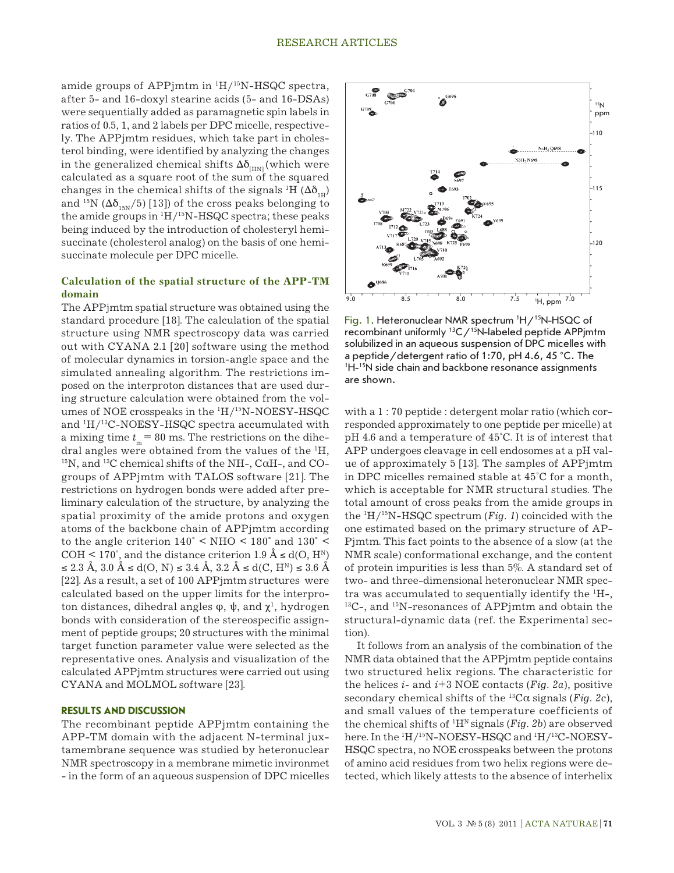amide groups of APPjmtm in  $\rm ^1H/^{15}N\text{-}HSQC$  spectra, after 5- and 16-doxyl stearine acids (5- and 16-DSAs) were sequentially added as paramagnetic spin labels in ratios of 0.5, 1, and 2 labels per DPC micelle, respectively. The APPjmtm residues, which take part in cholesterol binding, were identified by analyzing the changes in the generalized chemical shifts  $\Delta\delta_{H_N}$  (which were calculated as a square root of the sum of the squared changes in the chemical shifts of the signals  ${}^1\mathrm{H}$  ( $\Delta \delta_{_{1\text{H}}})$ and <sup>15</sup>N ( $\Delta\delta$ <sub>15N</sub>/5) [13]) of the cross peaks belonging to the amide groups in  ${}^{1}H/{}^{15}N-HSQC$  spectra; these peaks being induced by the introduction of cholesteryl hemisuccinate (cholesterol analog) on the basis of one hemisuccinate molecule per DPC micelle.

# **Calculation of the spatial structure of the APP-TM domain**

The APPjmtm spatial structure was obtained using the standard procedure [18]. The calculation of the spatial structure using NMR spectroscopy data was carried out with CYANA 2.1 [20] software using the method of molecular dynamics in torsion-angle space and the simulated annealing algorithm. The restrictions imposed on the interproton distances that are used during structure calculation were obtained from the volumes of NOE crosspeaks in the  $\rm ^1H/^{15}N\text{-}NOESY\text{-}HSQC$ and  $\rm ^1H/^{13}C\text{-}NOESY\text{-}HSQC$  spectra accumulated with a mixing time  $t_m = 80$  ms. The restrictions on the dihedral angles were obtained from the values of the  $H$ ,  $^{15}N$ , and  $^{13}C$  chemical shifts of the NH-, C $\alpha$ H-, and COgroups of APPjmtm with TALOS software [21]. The restrictions on hydrogen bonds were added after preliminary calculation of the structure, by analyzing the spatial proximity of the amide protons and oxygen atoms of the backbone chain of APPjmtm according to the angle criterion  $140^{\circ}$  < NHO < 180° and  $130^{\circ}$  < COH < 170°, and the distance criterion 1.9 Å  $\leq d(O, H^N)$  $\le 2.3$  Å, 3.0 Å ≤ d(O, N) ≤ 3.4 Å, 3.2 Å ≤ d(C, H<sup>N</sup>) ≤ 3.6 Å [22]. As a result, a set of 100 APPjmtm structures were calculated based on the upper limits for the interproton distances, dihedral angles  $\varphi$ ,  $\psi$ , and  $\chi^1$ , hydrogen bonds with consideration of the stereospecific assignment of peptide groups; 20 structures with the minimal target function parameter value were selected as the representative ones. Analysis and visualization of the calculated APPjmtm structures were carried out using CYANA and MOLMOL software [23].

#### **RESULTS AND DISCUSSION**

The recombinant peptide APPjmtm containing the APP-TM domain with the adjacent N-terminal juxtamembrane sequence was studied by heteronuclear NMR spectroscopy in a membrane mimetic invironmet - in the form of an aqueous suspension of DPC micelles



Fig. 1. Heteronuclear NMR spectrum 'H/<sup>15</sup>N-HSQC of recombinant uniformly 13C/15N-labeled peptide APPjmtm solubilized in an aqueous suspension of DPC micelles with a peptide/detergent ratio of 1:70, рН 4.6, 45 °С. The 1 H-15N side chain and backbone resonance assignments are shown.

with a 1 : 70 peptide : detergent molar ratio (which corresponded approximately to one peptide per micelle) at pH 4.6 and a temperature of 45°С. It is of interest that APP undergoes cleavage in cell endosomes at a pH value of approximately 5 [13]. The samples of APPjmtm in DPC micelles remained stable at 45°С for a month, which is acceptable for NMR structural studies. The total amount of cross peaks from the amide groups in the 1 H/15N-HSQC spectrum (*Fig. 1*) coincided with the one estimated based on the primary structure of AP-Pjmtm. This fact points to the absence of a slow (at the NMR scale) conformational exchange, and the content of protein impurities is less than 5%. A standard set of two- and three-dimensional heteronuclear NMR spectra was accumulated to sequentially identify the  ${}^{1}H$ -,  $^{13}$ C-, and  $^{15}$ N-resonances of APPjmtm and obtain the structural-dynamic data (ref. the Experimental section).

It follows from an analysis of the combination of the NMR data obtained that the APPjmtm peptide contains two structured helix regions. The characteristic for the helices  $i$ - and  $i$ +3 NOE contacts (*Fig. 2a*), positive secondary chemical shifts of the 13Cα signals (*Fig. 2c*), and small values of the temperature coefficients of the chemical shifts of  ${}^{1}H^{N}$  signals (*Fig.* 2b) are observed here. In the <sup>1</sup>H/<sup>15</sup>N-NOESY-HSQC and <sup>1</sup>H/<sup>13</sup>C-NOESY-HSQC spectra, no NOE crosspeaks between the protons of amino acid residues from two helix regions were detected, which likely attests to the absence of interhelix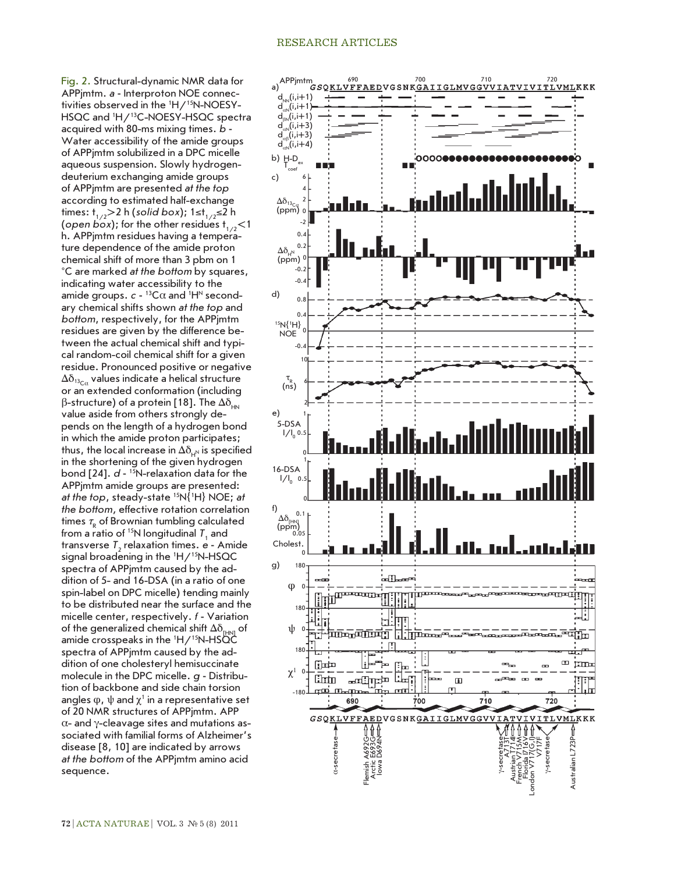# RESEARCH ARTICLES

Fig. 2. Structural-dynamic NMR data for APPjmtm. *а* **-** Interproton NOE connectivities observed in the 1 H/15N-NOESY-HSQC and <sup>1</sup>H/<sup>13</sup>C-NOESY-HSQC spectra acquired with 80-ms mixing times. *b*  **-** Water accessibility of the amide groups of APPjmtm solubilized in a DPC micelle aqueous suspension. Slowly hydrogendeuterium exchanging amide groups of APPjmtm are presented *at the top* according to estimated half-exchange times: t<sub>1/2</sub>>2 h (*solid box*); 1≤t<sub>1/2</sub>≤2 h (*open box*); for the other residues  $t_{1/2}$ <1 h. APPjmtm residues having a temperature dependence of the amide proton chemical shift of more than 3 pbm on 1 °С are marked *at the bottom* by squares, indicating water accessibility to the amide groups.  $c$  -  $^{13}$ C $\alpha$  and  $^{1}$ H<sup>N</sup> secondary chemical shifts shown *at the top* and *bottom*, respectively, for the APPjmtm residues are given by the difference between the actual chemical shift and typical random-coil chemical shift for a given residue. Pronounced positive or negative  $\Delta\delta_{^{13}\rm{Ca}}$  values indicate a helical structure or an extended conformation (including β-structure) of a protein [18]. The  $\Delta \delta_{HN}$ value aside from others strongly depends on the length of a hydrogen bond in which the amide proton participates; thus, the local increase in  $\Delta\delta_{_{\mathsf{H}^{\rm N}}}$  is specified in the shortening of the given hydrogen bond [24]. *d* **-** 15N-relaxation data for the APPjmtm amide groups are presented: *at the top*, steady-state 15N{ 1 H} NOE; *at the bottom,* effective rotation correlation times  $\tau_{\textrm{\tiny R}}$  of Brownian tumbling calculated from a ratio of <sup>15</sup>N longitudinal  $T_1$  and transverse T<sub>2</sub> relaxation times. e - Amide signal broadening in the 1 H/15N-HSQC spectra of APPjmtm caused by the addition of 5- and 16-DSA (in a ratio of one spin-label on DPC micelle) tending mainly to be distributed near the surface and the micelle center, respectively. *f* **-** Variation of the generalized chemical shift  $\Delta\delta_{\text{\tiny{HMI}}}$  of amide crosspeaks in the  $H/15N$ -HSQC spectra of APPjmtm caused by the addition of one cholesteryl hemisuccinate molecule in the DPC micelle. *g*  **-** Distribution of backbone and side chain torsion angles  $\phi$ ,  $\psi$  and  $\chi^1$  in a representative set of 20 NMR structures of APPjmtm. APP α- and γ-cleavage sites and mutations associated with familial forms of Alzheimer's disease [8, 10] are indicated by arrows *at the bottom* of the APPjmtm amino acid sequence.

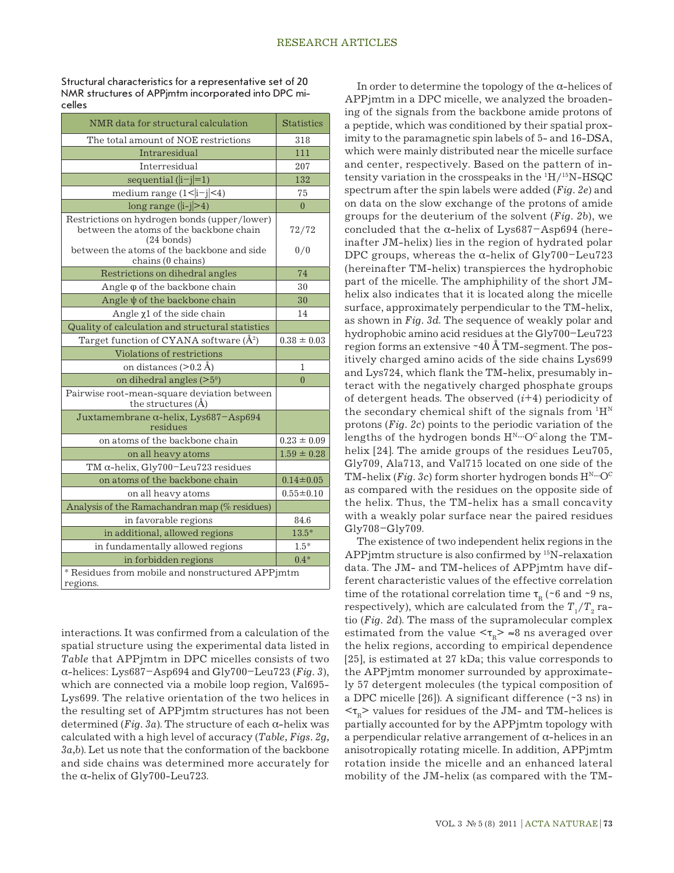Structural characteristics for a representative set of 20 NMR structures of APPjmtm incorporated into DPC micelles

| NMR data for structural calculation                                                                                                                                                | <b>Statistics</b> |
|------------------------------------------------------------------------------------------------------------------------------------------------------------------------------------|-------------------|
| The total amount of NOE restrictions                                                                                                                                               | 318               |
| Intraresidual                                                                                                                                                                      | 111               |
| Interresidual                                                                                                                                                                      | 207               |
| sequential $( i-j =1)$                                                                                                                                                             | 132               |
| medium range $(1< i-j <4)$                                                                                                                                                         | 75                |
| $long range ( i-j >4)$                                                                                                                                                             | $\overline{0}$    |
| Restrictions on hydrogen bonds (upper/lower)<br>between the atoms of the backbone chain<br>$(24 \text{ bonds})$<br>between the atoms of the backbone and side<br>chains (0 chains) | 72/72<br>0/0      |
| Restrictions on dihedral angles                                                                                                                                                    | 74                |
| Angle $\varphi$ of the backbone chain                                                                                                                                              | 30                |
| Angle $\psi$ of the backbone chain                                                                                                                                                 | 30                |
| Angle $x1$ of the side chain                                                                                                                                                       | 14                |
| Quality of calculation and structural statistics                                                                                                                                   |                   |
| Target function of CYANA software $(\AA^2)$                                                                                                                                        | $0.38 \pm 0.03$   |
| Violations of restrictions                                                                                                                                                         |                   |
| on distances $(>0.2 \text{ Å})$                                                                                                                                                    | 1                 |
| on dihedral angles $(>50)$                                                                                                                                                         | $\theta$          |
| Pairwise root-mean-square deviation between<br>the structures (Å)                                                                                                                  |                   |
| Juxtamembrane $\alpha$ -helix, Lys687-Asp694<br>residues                                                                                                                           |                   |
| on atoms of the backbone chain                                                                                                                                                     | $0.23 \pm 0.09$   |
| on all heavy atoms                                                                                                                                                                 | $1.59 \pm 0.28$   |
| TM $\alpha$ -helix, Gly700-Leu723 residues                                                                                                                                         |                   |
| on atoms of the backbone chain                                                                                                                                                     | $0.14 \pm 0.05$   |
| on all heavy atoms                                                                                                                                                                 | $0.55 \pm 0.10$   |
| Analysis of the Ramachandran map (% residues)                                                                                                                                      |                   |
| in favorable regions                                                                                                                                                               | 84.6              |
| in additional, allowed regions                                                                                                                                                     | $13.5*$           |
| in fundamentally allowed regions                                                                                                                                                   | $1.5*$            |
| in forbidden regions                                                                                                                                                               | $0.4*$            |
| * Residues from mobile and nonstructured APPjmtm<br>regions.                                                                                                                       |                   |

interactions. It was confirmed from a calculation of the spatial structure using the experimental data listed in *Table* that APPjmtm in DPC micelles consists of two α-helices: Lys687–Asp694 and Gly700–Leu723 (*Fig. 3*), which are connected via a mobile loop region, Val695- Lys699. The relative orientation of the two helices in the resulting set of APPjmtm structures has not been determined ( $Fig. 3a$ ). The structure of each  $\alpha$ -helix was calculated with a high level of accuracy (*Table, Figs. 2g, 3a,b*). Let us note that the conformation of the backbone and side chains was determined more accurately for the α-helix of Gly700-Leu723.

In order to determine the topology of the  $\alpha$ -helices of APPjmtm in a DPC micelle, we analyzed the broadening of the signals from the backbone amide protons of a peptide, which was conditioned by their spatial proximity to the paramagnetic spin labels of 5- and 16-DSA, which were mainly distributed near the micelle surface and center, respectively. Based on the pattern of intensity variation in the crosspeaks in the <sup>1</sup>H/<sup>15</sup>N-HSQC spectrum after the spin labels were added (*Fig. 2e*) and on data on the slow exchange of the protons of amide groups for the deuterium of the solvent (*Fig. 2b*), we concluded that the  $\alpha$ -helix of Lys687-Asp694 (hereinafter JM-helix) lies in the region of hydrated polar DPC groups, whereas the α-helix of  $Gly700$ –Leu723 (hereinafter ТМ-helix) transpierces the hydrophobic part of the micelle. The amphiphility of the short JMhelix also indicates that it is located along the micelle surface, approximately perpendicular to the TM-helix, as shown in *Fig. 3d*. The sequence of weakly polar and hydrophobic amino acid residues at the Gly700–Leu723 region forms an extensive  $\sim 40 \text{ Å}$  TM-segment. The positively charged amino acids of the side chains Lys699 and Lys724, which flank the TM-helix, presumably interact with the negatively charged phosphate groups of detergent heads. The observed (*i*+4) periodicity of the secondary chemical shift of the signals from  ${}^{1}H^{N}$ protons (*Fig. 2c*) points to the periodic variation of the lengths of the hydrogen bonds  $H^{N...}O^C$  along the TMhelix [24]. The amide groups of the residues Leu705, Gly709, Ala713, and Val715 located on one side of the TM-helix (*Fig.* 3c) form shorter hydrogen bonds  $H^{N}$ <sup>---</sup>O<sup>C</sup> as compared with the residues on the opposite side of the helix. Thus, the TM-helix has a small concavity with a weakly polar surface near the paired residues Gly708–Gly709.

The existence of two independent helix regions in the APPjmtm structure is also confirmed by 15N-relaxation data. The JM- and ТМ-helices of APPjmtm have different characteristic values of the effective correlation time of the rotational correlation time  $\tau_{\rm R}$  (~6 and ~9 ns, respectively), which are calculated from the  $T_{\rm 1}/T_{\rm 2}$  ratio (*Fig. 2d*). The mass of the supramolecular complex estimated from the value  $\langle \tau_{\rm R} \rangle \approx 8$  ns averaged over the helix regions, according to empirical dependence [25], is estimated at 27 kDa; this value corresponds to the APPjmtm monomer surrounded by approximately 57 detergent molecules (the typical composition of a DPC micelle [26]). A significant difference (~3 ns) in  $\langle \tau_{\rm n} \rangle$  values for residues of the JM- and TM-helices is partially accounted for by the APPjmtm topology with a perpendicular relative arrangement of α-helices in an anisotropically rotating micelle. In addition, APPjmtm rotation inside the micelle and an enhanced lateral mobility of the JM-helix (as compared with the TM-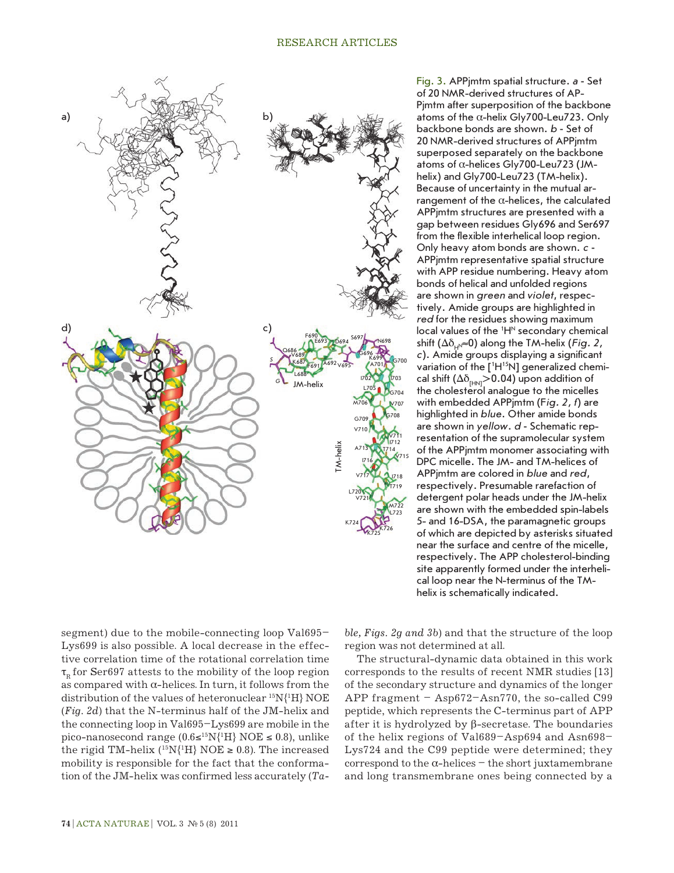

Fig. 3. APPjmtm spatial structure. *a* **-** Set of 20 NMR-derived structures of AP-Pjmtm after superposition of the backbone atoms of the  $\alpha$ -helix Gly700-Leu723. Only backbone bonds are shown. *b* **-** Set of 20 NMR-derived structures of APPjmtm superposed separately on the backbone atoms of α-helices Gly700-Leu723 (JMhelix) and Gly700-Leu723 (TM-helix). Because of uncertainty in the mutual arrangement of the α-helices, the calculated APPjmtm structures are presented with a gap between residues Gly696 and Ser697 from the flexible interhelical loop region. Only heavy atom bonds are shown. *с* **-**  APPjmtm representative spatial structure with APP residue numbering. Heavy atom bonds of helical and unfolded regions are shown in *green* and *violet*, respectively. Amide groups are highlighted in *red* for the residues showing maximum local values of the <sup>1</sup>H<sup>N</sup> secondary chemical shift  $(\Delta \delta_{\mu} \approx 0)$  along the TM-helix (*Fig. 2*, *c*). Amide groups displaying a significant variation of the [<sup>1</sup>H<sup>15</sup>N] generalized chemical shift ( $\Delta\delta_{\text{HMI}}$ >0.04) upon addition of the cholesterol analogue to the micelles with embedded APPjmtm (F*ig. 2, f*) are highlighted in *blue*. Other amide bonds are shown in *yellow*. *d* **-** Schematic representation of the supramolecular system of the APPjmtm monomer associating with DPC micelle. The JM- and TM-helices of APPjmtm are colored in *blue* and *red*, respectively. Presumable rarefaction of detergent polar heads under the JM-helix are shown with the embedded spin-labels 5- and 16-DSA, the paramagnetic groups of which are depicted by asterisks situated near the surface and centre of the micelle, respectively. The APP cholesterol-binding site apparently formed under the interhelical loop near the N-terminus of the TMhelix is schematically indicated.

segment) due to the mobile-connecting loop Val695– Lys699 is also possible. A local decrease in the effective correlation time of the rotational correlation time  $\tau_{p}$  for Ser697 attests to the mobility of the loop region as compared with  $\alpha$ -helices. In turn, it follows from the distribution of the values of heteronuclear 15N{1 H} NOE (*Fig. 2d*) that the N-terminus half of the JM-helix and the connecting loop in Val695–Lys699 are mobile in the pico-nanosecond range (0.6≤<sup>15</sup>N{<sup>1</sup>H} NOE ≤ 0.8), unlike the rigid TM-helix ( $^{15}N(^{1}H)$  NOE  $\geq$  0.8). The increased mobility is responsible for the fact that the conformation of the JM-helix was confirmed less accurately (*Ta-* *ble, Figs. 2g and 3b*) and that the structure of the loop region was not determined at all.

The structural-dynamic data obtained in this work corresponds to the results of recent NMR studies [13] of the secondary structure and dynamics of the longer APP fragment  $-$  Asp672–Asn770, the so-called C99 peptide, which represents the C-terminus part of APP after it is hydrolyzed by β-secretase. The boundaries of the helix regions of Val689–Asp694 and Asn698– Lys724 and the C99 peptide were determined; they correspond to the α-helices – the short juxtamembrane and long transmembrane ones being connected by a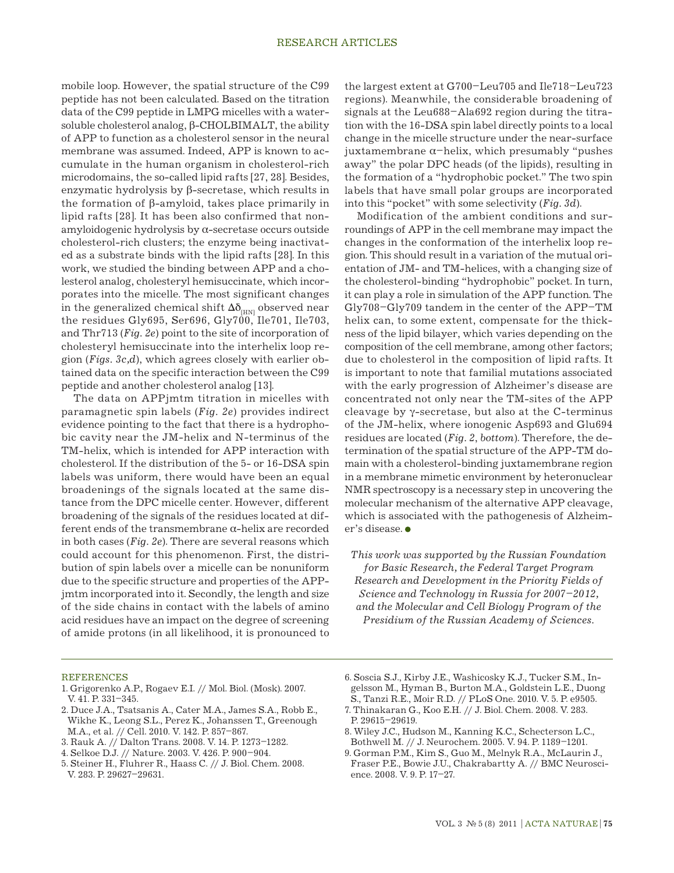mobile loop. However, the spatial structure of the C99 peptide has not been calculated. Based on the titration data of the C99 peptide in LMPG micelles with a watersoluble cholesterol analog, β-CHOLBIMALT, the ability of APP to function as a cholesterol sensor in the neural membrane was assumed. Indeed, APP is known to accumulate in the human organism in cholesterol-rich microdomains, the so-called lipid rafts [27, 28]. Besides, enzymatic hydrolysis by β-secretase, which results in the formation of β-amyloid, takes place primarily in lipid rafts [28]. It has been also confirmed that nonamyloidogenic hydrolysis by α-secretase occurs outside cholesterol-rich clusters; the enzyme being inactivated as a substrate binds with the lipid rafts [28]. In this work, we studied the binding between APP and a cholesterol analog, cholesteryl hemisuccinate, which incorporates into the micelle. The most significant changes in the generalized chemical shift  $\Delta \delta_{_{\rm [HN]}}$  observed near the residues Gly695, Ser696, Gly700, Ile701, Ile703, and Thr713 (*Fig. 2е*) point to the site of incorporation of cholesteryl hemisuccinate into the interhelix loop region (*Figs. 3c,d*), which agrees closely with earlier obtained data on the specific interaction between the C99 peptide and another cholesterol analog [13].

The data on APPjmtm titration in micelles with paramagnetic spin labels (*Fig. 2e*) provides indirect evidence pointing to the fact that there is a hydrophobic cavity near the JM-helix and N-terminus of the TM-helix, which is intended for APP interaction with cholesterol. If the distribution of the 5- or 16-DSA spin labels was uniform, there would have been an equal broadenings of the signals located at the same distance from the DPC micelle center. However, different broadening of the signals of the residues located at different ends of the transmembrane α-helix are recorded in both cases (*Fig. 2e*). There are several reasons which could account for this phenomenon. First, the distribution of spin labels over a micelle can be nonuniform due to the specific structure and properties of the APPjmtm incorporated into it. Secondly, the length and size of the side chains in contact with the labels of amino acid residues have an impact on the degree of screening of amide protons (in all likelihood, it is pronounced to the largest extent at G700–Leu705 and Ile718–Leu723 regions). Meanwhile, the considerable broadening of signals at the Leu688–Ala692 region during the titration with the 16-DSA spin label directly points to a local change in the micelle structure under the near-surface juxtamembrane α–helix, which presumably "pushes away" the polar DPC heads (of the lipids), resulting in the formation of a "hydrophobic pocket." The two spin labels that have small polar groups are incorporated into this "pocket" with some selectivity (*Fig. 3d*).

Modification of the ambient conditions and surroundings of APP in the cell membrane may impact the changes in the conformation of the interhelix loop region. This should result in a variation of the mutual orientation of JM- and TM-helices, with a changing size of the cholesterol-binding "hydrophobic" pocket. In turn, it can play a role in simulation of the APP function. The Gly708–Gly709 tandem in the center of the APP–TM helix can, to some extent, compensate for the thickness of the lipid bilayer, which varies depending on the composition of the cell membrane, among other factors; due to cholesterol in the composition of lipid rafts. It is important to note that familial mutations associated with the early progression of Alzheimer's disease are concentrated not only near the TM-sites of the APP cleavage by γ-secretase, but also at the C-terminus of the JM-helix, where ionogenic Asp693 and Glu694 residues are located (*Fig. 2*, *bottom*). Therefore, the determination of the spatial structure of the APP-TM domain with a cholesterol-binding juxtamembrane region in a membrane mimetic environment by heteronuclear NMR spectroscopy is a necessary step in uncovering the molecular mechanism of the alternative APP cleavage, which is associated with the pathogenesis of Alzheimer's disease.

*This work was supported by the Russian Foundation for Basic Research, the Federal Target Program Research and Development in the Priority Fields of Science and Technology in Russia for 2007–2012, and the Molecular and Cell Biology Program of the Presidium of the Russian Academy of Sciences.*

#### REFERENCES

- 1. Grigorenko A.P., Rogaev E.I. // Mol. Biol. (Mosk). 2007. V. 41. P. 331–345.
- 2. Duce J.A., Tsatsanis A., Cater M.A., James S.A., Robb E., Wikhe K., Leong S.L., Perez K., Johanssen T., Greenough M.A., et al. // Cell. 2010. V. 142. P. 857–867.
- 3. Rauk A. // Dalton Trans. 2008. V. 14. P. 1273–1282.
- 4. Selkoe D.J. // Nature. 2003. V. 426. P. 900–904.
- 5. Steiner H., Fluhrer R., Haass C. // J. Biol. Chem. 2008.
- V. 283. P. 29627–29631.
- 6. Soscia S.J., Kirby J.E., Washicosky K.J., Tucker S.M., Ingelsson M., Hyman B., Burton M.A., Goldstein L.E., Duong S., Tanzi R.E., Moir R.D. // PLoS One. 2010. V. 5. P. e9505.
- 7. Thinakaran G., Koo E.H. // J. Biol. Chem. 2008. V. 283. P. 29615–29619.
- 8. Wiley J.C., Hudson M., Kanning K.C., Schecterson L.C., Bothwell M. // J. Neurochem. 2005. V. 94. P. 1189–1201.
- 9. Gorman P.M., Kim S., Guo M., Melnyk R.A., McLaurin J., Fraser P.E., Bowie J.U., Chakrabartty A. // BMC Neuroscience. 2008. V. 9. P. 17–27.